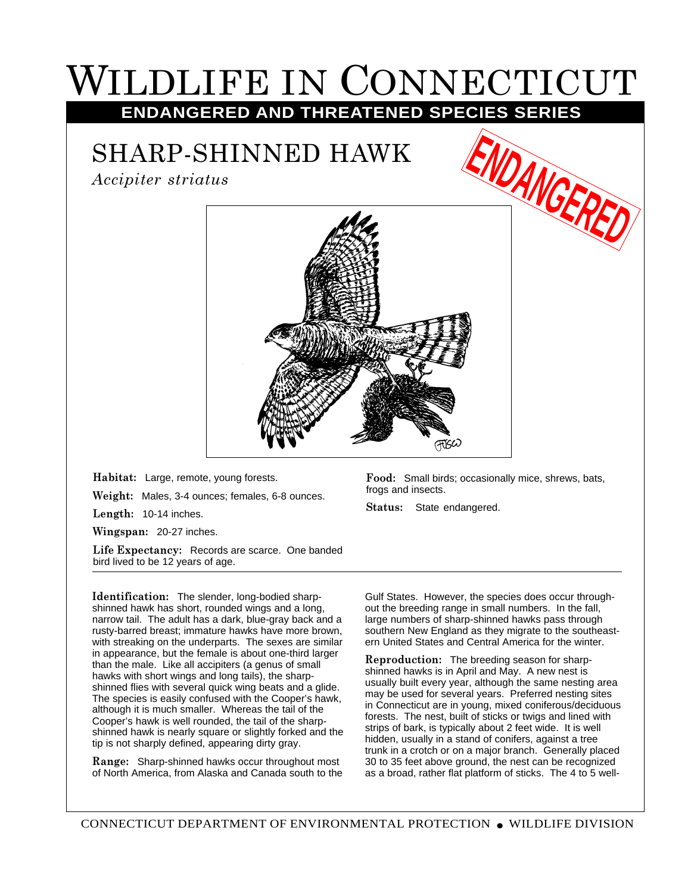## WILDLIFE IN CONNECTICUT **ENDANGERED AND THREATENED SPECIES SERIES**

## SHARP-SHINNED HAWK

*Accipiter striatus*



**Habitat:** Large, remote, young forests.

**Weight:** Males, 3-4 ounces; females, 6-8 ounces.

**Length:** 10-14 inches.

**Wingspan:** 20-27 inches.

**Life Expectancy:** Records are scarce. One banded bird lived to be 12 years of age.

**Identification:** The slender, long-bodied sharpshinned hawk has short, rounded wings and a long, narrow tail. The adult has a dark, blue-gray back and a rusty-barred breast; immature hawks have more brown, with streaking on the underparts. The sexes are similar in appearance, but the female is about one-third larger than the male. Like all accipiters (a genus of small hawks with short wings and long tails), the sharpshinned flies with several quick wing beats and a glide. The species is easily confused with the Cooper's hawk, although it is much smaller. Whereas the tail of the Cooper's hawk is well rounded, the tail of the sharpshinned hawk is nearly square or slightly forked and the tip is not sharply defined, appearing dirty gray.

**Range:** Sharp-shinned hawks occur throughout most of North America, from Alaska and Canada south to the **Food:** Small birds; occasionally mice, shrews, bats, frogs and insects.

**Status:** State endangered.

Gulf States. However, the species does occur throughout the breeding range in small numbers. In the fall, large numbers of sharp-shinned hawks pass through southern New England as they migrate to the southeastern United States and Central America for the winter.

**Reproduction:** The breeding season for sharpshinned hawks is in April and May. A new nest is usually built every year, although the same nesting area may be used for several years. Preferred nesting sites in Connecticut are in young, mixed coniferous/deciduous forests. The nest, built of sticks or twigs and lined with strips of bark, is typically about 2 feet wide. It is well hidden, usually in a stand of conifers, against a tree trunk in a crotch or on a major branch. Generally placed 30 to 35 feet above ground, the nest can be recognized as a broad, rather flat platform of sticks. The 4 to 5 well-